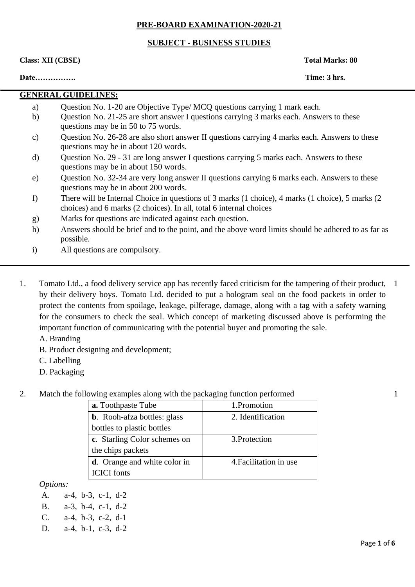### **PRE-BOARD EXAMINATION-2020-21**

### **SUBJECT - BUSINESS STUDIES**

**Class: XII (CBSE) Total Marks: 80** 

**Date……………. Time: 3 hrs.** 

# **GENERAL GUIDELINES:**

- a) Question No. 1-20 are Objective Type/ MCQ questions carrying 1 mark each.
- b) Question No. 21-25 are short answer I questions carrying 3 marks each. Answers to these questions may be in 50 to 75 words.
- c) Question No. 26-28 are also short answer II questions carrying 4 marks each. Answers to these questions may be in about 120 words.
- d) Question No. 29 31 are long answer I questions carrying 5 marks each. Answers to these questions may be in about 150 words.
- e) Question No. 32-34 are very long answer II questions carrying 6 marks each. Answers to these questions may be in about 200 words.
- f) There will be Internal Choice in questions of 3 marks (1 choice), 4 marks (1 choice), 5 marks (2 choices) and 6 marks (2 choices). In all, total 6 internal choices
- g) Marks for questions are indicated against each question.
- h) Answers should be brief and to the point, and the above word limits should be adhered to as far as possible.
- i) All questions are compulsory.
- 1. Tomato Ltd., a food delivery service app has recently faced criticism for the tampering of their product, 1 by their delivery boys. Tomato Ltd. decided to put a hologram seal on the food packets in order to protect the contents from spoilage, leakage, pilferage, damage, along with a tag with a safety warning for the consumers to check the seal. Which concept of marketing discussed above is performing the important function of communicating with the potential buyer and promoting the sale.
	- A. Branding
	- B. Product designing and development;
	- C. Labelling
	- D. Packaging
- 2. Match the following examples along with the packaging function performed

| <b>a.</b> Toothpaste Tube            | 1.Promotion            |  |
|--------------------------------------|------------------------|--|
| <b>b.</b> Rooh-afza bottles: glass   | 2. Identification      |  |
| bottles to plastic bottles           |                        |  |
| c. Starling Color schemes on         | 3. Protection          |  |
| the chips packets                    |                        |  |
| <b>d</b> . Orange and white color in | 4. Facilitation in use |  |
| <b>ICICI</b> fonts                   |                        |  |

*Options:*

- A. a-4, b-3, c-1, d-2
- B. a-3, b-4, c-1, d-2
- C. a-4, b-3, c-2, d-1
- D. a-4, b-1, c-3, d-2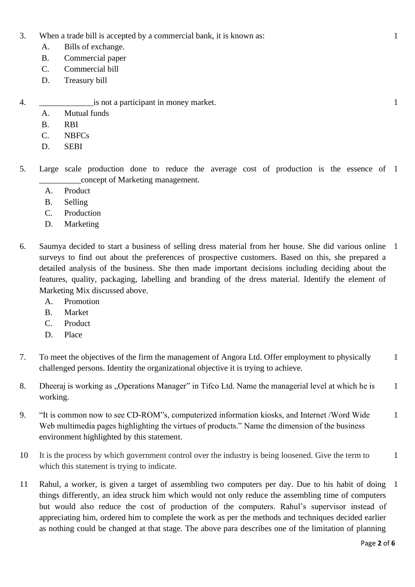- 3. When a trade bill is accepted by a commercial bank, it is known as:
	- A. Bills of exchange.
	- B. Commercial paper
	- C. Commercial bill
	- D. Treasury bill

4. \_\_\_\_\_\_\_\_\_\_\_\_\_is not a participant in money market.

- A. Mutual funds
- B. RBI
- C. NBFCs
- D. SEBI
- 5. Large scale production done to reduce the average cost of production is the essence of 1 \_\_\_\_\_\_\_\_\_\_concept of Marketing management.
	- A. Product
	- B. Selling
	- C. Production
	- D. Marketing
- 6. Saumya decided to start a business of selling dress material from her house. She did various online 1 surveys to find out about the preferences of prospective customers. Based on this, she prepared a detailed analysis of the business. She then made important decisions including deciding about the features, quality, packaging, labelling and branding of the dress material. Identify the element of Marketing Mix discussed above.
	- A. Promotion
	- B. Market
	- C. Product
	- D. Place
- 7. To meet the objectives of the firm the management of Angora Ltd. Offer employment to physically challenged persons. Identity the organizational objective it is trying to achieve. 1
- 8. Dheeraj is working as "Operations Manager" in Tifco Ltd. Name the managerial level at which he is working. 1
- 9. "It is common now to see CD-ROM"s, computerized information kiosks, and Internet /Word Wide Web multimedia pages highlighting the virtues of products." Name the dimension of the business environment highlighted by this statement. 1
- 10 It is the process by which government control over the industry is being loosened. Give the term to which this statement is trying to indicate. 1
- 11 Rahul, a worker, is given a target of assembling two computers per day. Due to his habit of doing things differently, an idea struck him which would not only reduce the assembling time of computers but would also reduce the cost of production of the computers. Rahul's supervisor instead of appreciating him, ordered him to complete the work as per the methods and techniques decided earlier as nothing could be changed at that stage. The above para describes one of the limitation of planning 1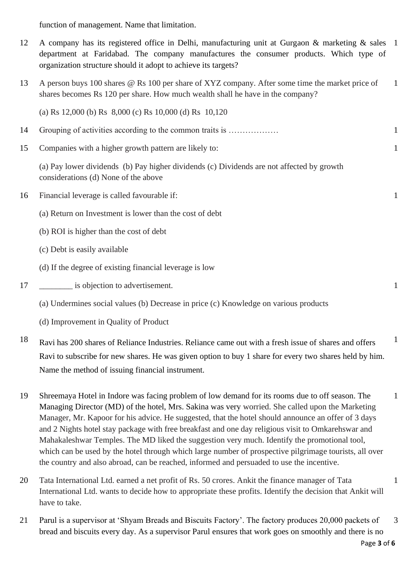function of management. Name that limitation.

- 12 A company has its registered office in Delhi, manufacturing unit at Gurgaon & marketing & sales department at Faridabad. The company manufactures the consumer products. Which type of organization structure should it adopt to achieve its targets? 1
- 13 A person buys 100 shares @ Rs 100 per share of XYZ company. After some time the market price of shares becomes Rs 120 per share. How much wealth shall he have in the company? 1

(a) Rs 12,000 (b) Rs 8,000 (c) Rs 10,000 (d) Rs 10,120

- 14 Grouping of activities according to the common traits is ……………… 1 1
- 15 Companies with a higher growth pattern are likely to:

(a) Pay lower dividends (b) Pay higher dividends (c) Dividends are not affected by growth considerations (d) None of the above

- 16 Financial leverage is called favourable if:
	- (a) Return on Investment is lower than the cost of debt
	- (b) ROI is higher than the cost of debt
	- (c) Debt is easily available
	- (d) If the degree of existing financial leverage is low
- 17 \_\_\_\_\_\_\_\_\_\_ is objection to advertisement.
	- (a) Undermines social values (b) Decrease in price (c) Knowledge on various products
	- (d) Improvement in Quality of Product
- 18 Ravi has 200 shares of Reliance Industries. Reliance came out with a fresh issue of shares and offers Ravi to subscribe for new shares. He was given option to buy 1 share for every two shares held by him. Name the method of issuing financial instrument. 1
- 19 Shreemaya Hotel in Indore was facing problem of low demand for its rooms due to off season. The Managing Director (MD) of the hotel, Mrs. Sakina was very worried. She called upon the Marketing Manager, Mr. Kapoor for his advice. He suggested, that the hotel should announce an offer of 3 days and 2 Nights hotel stay package with free breakfast and one day religious visit to Omkarehswar and Mahakaleshwar Temples. The MD liked the suggestion very much. Identify the promotional tool, which can be used by the hotel through which large number of prospective pilgrimage tourists, all over the country and also abroad, can be reached, informed and persuaded to use the incentive. 1
- 20 Tata International Ltd. earned a net profit of Rs. 50 crores. Ankit the finance manager of Tata International Ltd. wants to decide how to appropriate these profits. Identify the decision that Ankit will have to take. 1
- 21 Parul is a supervisor at 'Shyam Breads and Biscuits Factory'. The factory produces 20,000 packets of bread and biscuits every day. As a supervisor Parul ensures that work goes on smoothly and there is no 3

1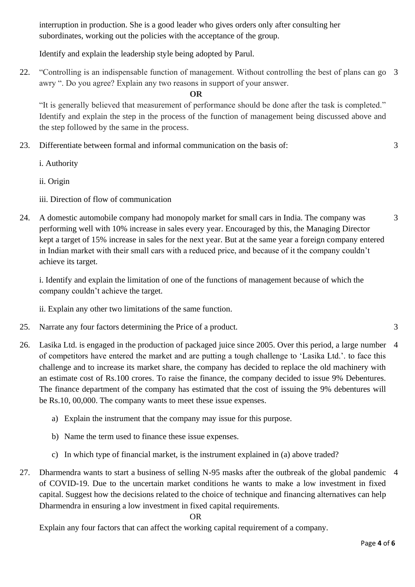interruption in production. She is a good leader who gives orders only after consulting her subordinates, working out the policies with the acceptance of the group.

Identify and explain the leadership style being adopted by Parul.

22. "Controlling is an indispensable function of management. Without controlling the best of plans can go 3 awry ". Do you agree? Explain any two reasons in support of your answer.

**OR**

"It is generally believed that measurement of performance should be done after the task is completed." Identify and explain the step in the process of the function of management being discussed above and the step followed by the same in the process.

23. Differentiate between formal and informal communication on the basis of:

i. Authority

ii. Origin

iii. Direction of flow of communication

24. A domestic automobile company had monopoly market for small cars in India. The company was performing well with 10% increase in sales every year. Encouraged by this, the Managing Director kept a target of 15% increase in sales for the next year. But at the same year a foreign company entered in Indian market with their small cars with a reduced price, and because of it the company couldn't achieve its target.

i. Identify and explain the limitation of one of the functions of management because of which the company couldn't achieve the target.

ii. Explain any other two limitations of the same function.

- 25. Narrate any four factors determining the Price of a product. 3
- 26. Lasika Ltd. is engaged in the production of packaged juice since 2005. Over this period, a large number 4 of competitors have entered the market and are putting a tough challenge to 'Lasika Ltd.'. to face this challenge and to increase its market share, the company has decided to replace the old machinery with an estimate cost of Rs.100 crores. To raise the finance, the company decided to issue 9% Debentures. The finance department of the company has estimated that the cost of issuing the 9% debentures will be Rs.10, 00,000. The company wants to meet these issue expenses.
	- a) Explain the instrument that the company may issue for this purpose.
	- b) Name the term used to finance these issue expenses.
	- c) In which type of financial market, is the instrument explained in (a) above traded?
- 27. Dharmendra wants to start a business of selling N-95 masks after the outbreak of the global pandemic 4of COVID-19. Due to the uncertain market conditions he wants to make a low investment in fixed capital. Suggest how the decisions related to the choice of technique and financing alternatives can help Dharmendra in ensuring a low investment in fixed capital requirements.

### OR

Explain any four factors that can affect the working capital requirement of a company.

3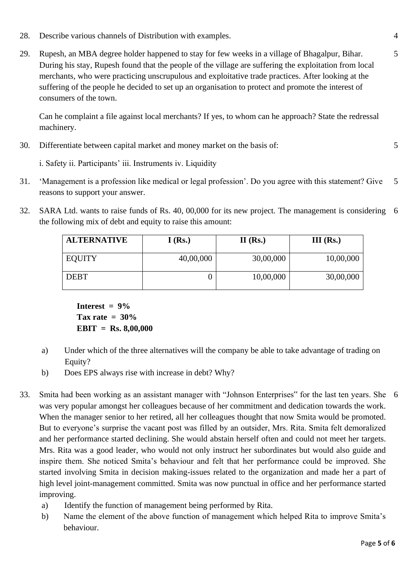- 28. Describe various channels of Distribution with examples. 4
- 29. Rupesh, an MBA degree holder happened to stay for few weeks in a village of Bhagalpur, Bihar. During his stay, Rupesh found that the people of the village are suffering the exploitation from local merchants, who were practicing unscrupulous and exploitative trade practices. After looking at the suffering of the people he decided to set up an organisation to protect and promote the interest of consumers of the town.

Can he complaint a file against local merchants? If yes, to whom can he approach? State the redressal machinery.

30. Differentiate between capital market and money market on the basis of:

i. Safety ii. Participants' iii. Instruments iv. Liquidity

- 31. 'Management is a profession like medical or legal profession'. Do you agree with this statement? Give reasons to support your answer. 5
- 32. SARA Ltd. wants to raise funds of Rs. 40, 00,000 for its new project. The management is considering the following mix of debt and equity to raise this amount: 6

| <b>ALTERNATIVE</b> | I(Rs.)    | $II$ (Rs.) | $III$ (Rs.) |
|--------------------|-----------|------------|-------------|
| <b>EQUITY</b>      | 40,00,000 | 30,00,000  | 10,00,000   |
| <b>DEBT</b>        |           | 10,00,000  | 30,00,000   |

**Interest = 9% Tax rate = 30% EBIT = Rs. 8,00,000**

- a) Under which of the three alternatives will the company be able to take advantage of trading on Equity?
- b) Does EPS always rise with increase in debt? Why?
- 33. Smita had been working as an assistant manager with "Johnson Enterprises" for the last ten years. She 6was very popular amongst her colleagues because of her commitment and dedication towards the work. When the manager senior to her retired, all her colleagues thought that now Smita would be promoted. But to everyone's surprise the vacant post was filled by an outsider, Mrs. Rita. Smita felt demoralized and her performance started declining. She would abstain herself often and could not meet her targets. Mrs. Rita was a good leader, who would not only instruct her subordinates but would also guide and inspire them. She noticed Smita's behaviour and felt that her performance could be improved. She started involving Smita in decision making-issues related to the organization and made her a part of high level joint-management committed. Smita was now punctual in office and her performance started improving.
	- a) Identify the function of management being performed by Rita.
	- b) Name the element of the above function of management which helped Rita to improve Smita's behaviour.

5